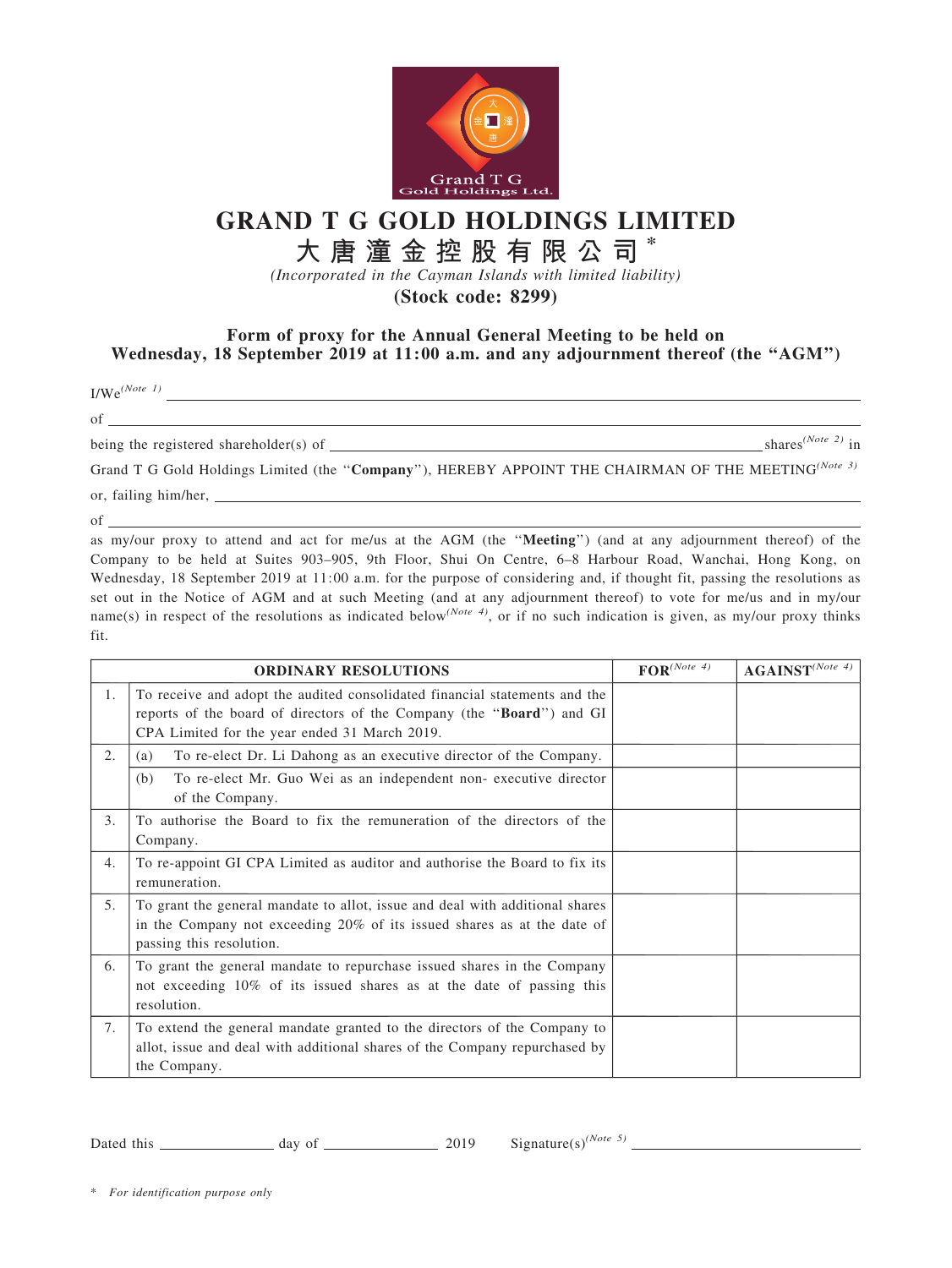

## GRAND T G GOLD HOLDINGS LIMITED

## 大 唐 潼 金 控 股 有 限 公 司 \*

(Incorporated in the Cayman Islands with limited liability)

(Stock code: 8299)

## Form of proxy for the Annual General Meeting to be held on Wednesday, 18 September 2019 at 11:00 a.m. and any adjournment thereof (the "AGM")

 $\frac{1}{\text{We}}e^{(Note \ 1)}$ 

of

being the registered shareholder(s) of  $\frac{1}{s}$  shares<sup>(Note 2)</sup> in

Grand T G Gold Holdings Limited (the "Company"), HEREBY APPOINT THE CHAIRMAN OF THE MEETING<sup>(Note 3)</sup> or, failing him/her,

of

as my/our proxy to attend and act for me/us at the AGM (the ''Meeting'') (and at any adjournment thereof) of the Company to be held at Suites 903–905, 9th Floor, Shui On Centre, 6–8 Harbour Road, Wanchai, Hong Kong, on Wednesday, 18 September 2019 at 11:00 a.m. for the purpose of considering and, if thought fit, passing the resolutions as set out in the Notice of AGM and at such Meeting (and at any adjournment thereof) to vote for me/us and in my/our name(s) in respect of the resolutions as indicated below<sup>(Note 4)</sup>, or if no such indication is given, as my/our proxy thinks fit.

| <b>ORDINARY RESOLUTIONS</b> |                                                                                                                                                                                                      | $\mathbf{FOR}^{(Note~4)}$ | $\textbf{AGAINST}^{(Note 4)}$ |
|-----------------------------|------------------------------------------------------------------------------------------------------------------------------------------------------------------------------------------------------|---------------------------|-------------------------------|
| 1.                          | To receive and adopt the audited consolidated financial statements and the<br>reports of the board of directors of the Company (the "Board") and GI<br>CPA Limited for the year ended 31 March 2019. |                           |                               |
| 2.                          | To re-elect Dr. Li Dahong as an executive director of the Company.<br>(a)                                                                                                                            |                           |                               |
|                             | To re-elect Mr. Guo Wei as an independent non-executive director<br>(b)<br>of the Company.                                                                                                           |                           |                               |
| 3.                          | To authorise the Board to fix the remuneration of the directors of the<br>Company.                                                                                                                   |                           |                               |
| 4.                          | To re-appoint GI CPA Limited as auditor and authorise the Board to fix its<br>remuneration.                                                                                                          |                           |                               |
| 5.                          | To grant the general mandate to allot, issue and deal with additional shares<br>in the Company not exceeding 20% of its issued shares as at the date of<br>passing this resolution.                  |                           |                               |
| 6.                          | To grant the general mandate to repurchase issued shares in the Company<br>not exceeding 10% of its issued shares as at the date of passing this<br>resolution.                                      |                           |                               |
| 7.                          | To extend the general mandate granted to the directors of the Company to<br>allot, issue and deal with additional shares of the Company repurchased by<br>the Company.                               |                           |                               |

Dated this  $\frac{day \text{ of } 2019}$  Signature(s)<sup>(Note 5)</sup>